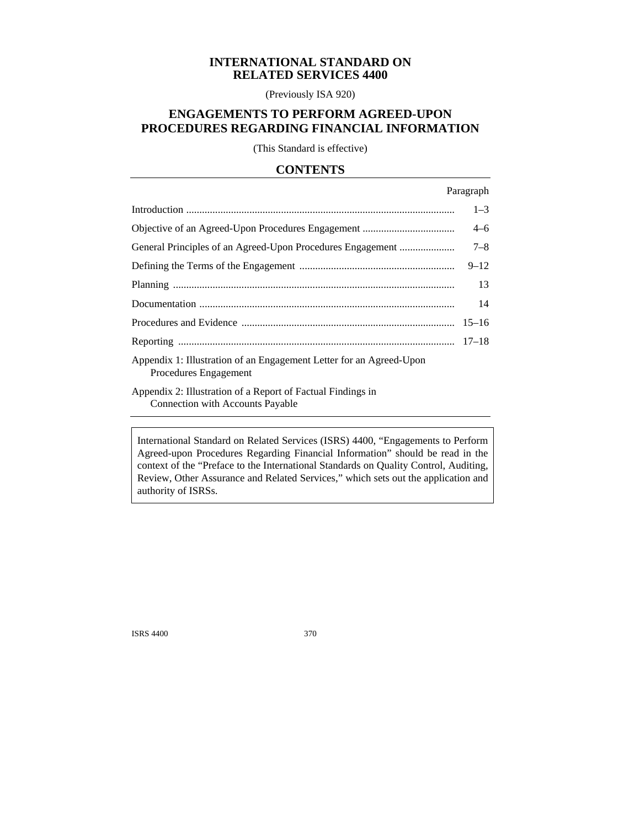### **INTERNATIONAL STANDARD ON RELATED SERVICES 4400**

(Previously ISA 920)

# **ENGAGEMENTS TO PERFORM AGREED-UPON PROCEDURES REGARDING FINANCIAL INFORMATION**

(This Standard is effective)

#### **CONTENTS**

|                                                                                              | Paragraph |
|----------------------------------------------------------------------------------------------|-----------|
|                                                                                              | $1 - 3$   |
|                                                                                              | $4 - 6$   |
| General Principles of an Agreed-Upon Procedures Engagement                                   | $7 - 8$   |
|                                                                                              | $9 - 12$  |
|                                                                                              | 13        |
|                                                                                              | 14        |
|                                                                                              | $15 - 16$ |
|                                                                                              |           |
| Appendix 1: Illustration of an Engagement Letter for an Agreed-Upon<br>Procedures Engagement |           |
| Appendix 2: Illustration of a Report of Factual Findings in                                  |           |

Connection with Accounts Payable

International Standard on Related Services (ISRS) 4400, "Engagements to Perform Agreed-upon Procedures Regarding Financial Information" should be read in the context of the "Preface to the International Standards on Quality Control, Auditing, Review, Other Assurance and Related Services," which sets out the application and authority of ISRSs.

ISRS 4400 370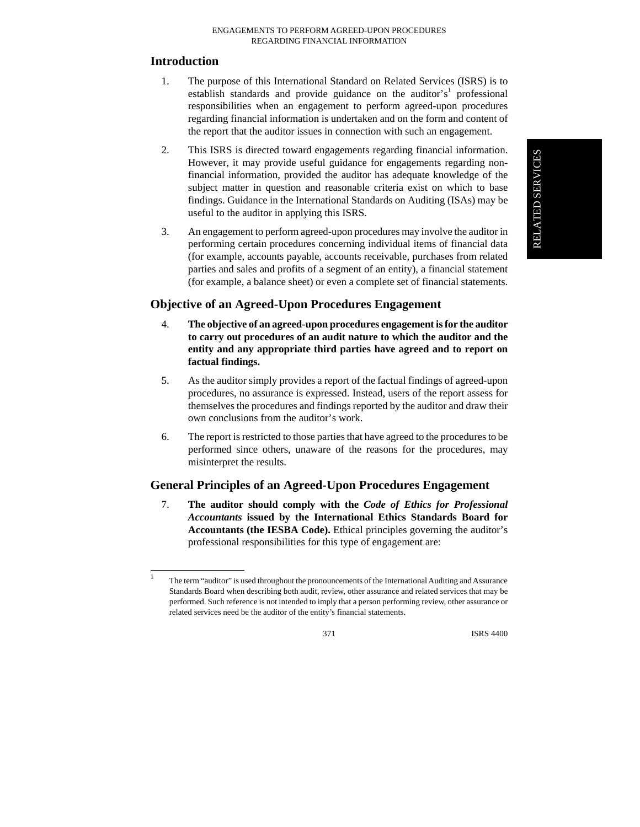### **Introduction**

 $\overline{\phantom{a}}$ 1

- 1. The purpose of this International Standard on Related Services (ISRS) is to establish standards and provide guidance on the auditor's<sup>1</sup> professional responsibilities when an engagement to perform agreed-upon procedures regarding financial information is undertaken and on the form and content of the report that the auditor issues in connection with such an engagement.
- 2. This ISRS is directed toward engagements regarding financial information. However, it may provide useful guidance for engagements regarding nonfinancial information, provided the auditor has adequate knowledge of the subject matter in question and reasonable criteria exist on which to base findings. Guidance in the International Standards on Auditing (ISAs) may be useful to the auditor in applying this ISRS.
- 3. An engagement to perform agreed-upon procedures may involve the auditor in performing certain procedures concerning individual items of financial data (for example, accounts payable, accounts receivable, purchases from related parties and sales and profits of a segment of an entity), a financial statement (for example, a balance sheet) or even a complete set of financial statements.

# **Objective of an Agreed-Upon Procedures Engagement**

- 4. **The objective of an agreed-upon procedures engagement is for the auditor to carry out procedures of an audit nature to which the auditor and the entity and any appropriate third parties have agreed and to report on factual findings.**
- 5. As the auditor simply provides a report of the factual findings of agreed-upon procedures, no assurance is expressed. Instead, users of the report assess for themselves the procedures and findings reported by the auditor and draw their own conclusions from the auditor's work.
- 6. The report is restricted to those parties that have agreed to the procedures to be performed since others, unaware of the reasons for the procedures, may misinterpret the results.

# **General Principles of an Agreed-Upon Procedures Engagement**

7. **The auditor should comply with the** *Code of Ethics for Professional Accountants* **issued by the International Ethics Standards Board for Accountants (the IESBA Code).** Ethical principles governing the auditor's professional responsibilities for this type of engagement are:

371 ISRS 4400

The term "auditor" is used throughout the pronouncements of the International Auditing and Assurance Standards Board when describing both audit, review, other assurance and related services that may be performed. Such reference is not intended to imply that a person performing review, other assurance or related services need be the auditor of the entity's financial statements.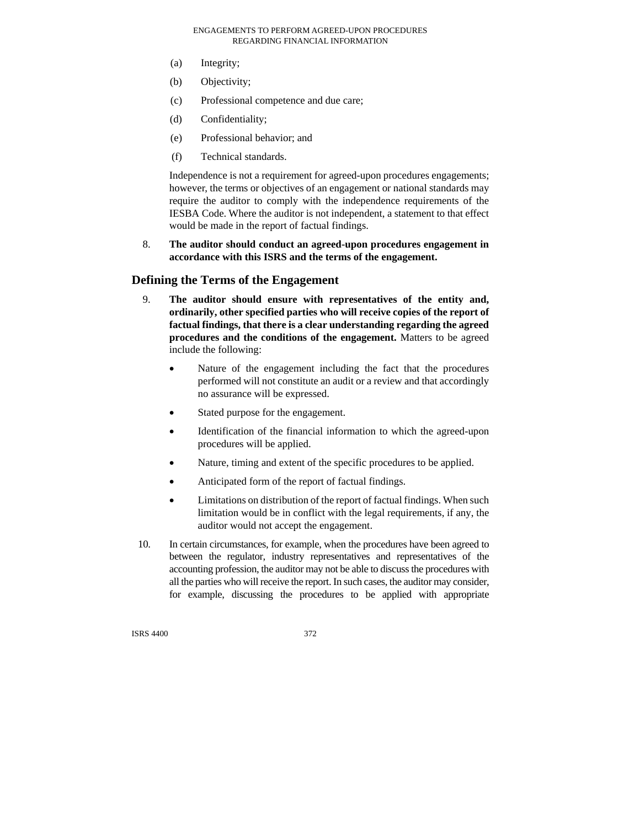- (a) Integrity;
- (b) Objectivity;
- (c) Professional competence and due care;
- (d) Confidentiality;
- (e) Professional behavior; and
- (f) Technical standards.

Independence is not a requirement for agreed-upon procedures engagements; however, the terms or objectives of an engagement or national standards may require the auditor to comply with the independence requirements of the IESBA Code. Where the auditor is not independent, a statement to that effect would be made in the report of factual findings.

8. **The auditor should conduct an agreed-upon procedures engagement in accordance with this ISRS and the terms of the engagement.** 

### **Defining the Terms of the Engagement**

- 9. **The auditor should ensure with representatives of the entity and, ordinarily, other specified parties who will receive copies of the report of factual findings, that there is a clear understanding regarding the agreed procedures and the conditions of the engagement.** Matters to be agreed include the following:
	- Nature of the engagement including the fact that the procedures performed will not constitute an audit or a review and that accordingly no assurance will be expressed.
	- Stated purpose for the engagement.
	- Identification of the financial information to which the agreed-upon procedures will be applied.
	- Nature, timing and extent of the specific procedures to be applied.
	- Anticipated form of the report of factual findings.
	- Limitations on distribution of the report of factual findings. When such limitation would be in conflict with the legal requirements, if any, the auditor would not accept the engagement.
- 10. In certain circumstances, for example, when the procedures have been agreed to between the regulator, industry representatives and representatives of the accounting profession, the auditor may not be able to discuss the procedures with all the parties who will receive the report. In such cases, the auditor may consider, for example, discussing the procedures to be applied with appropriate

ISRS 4400 372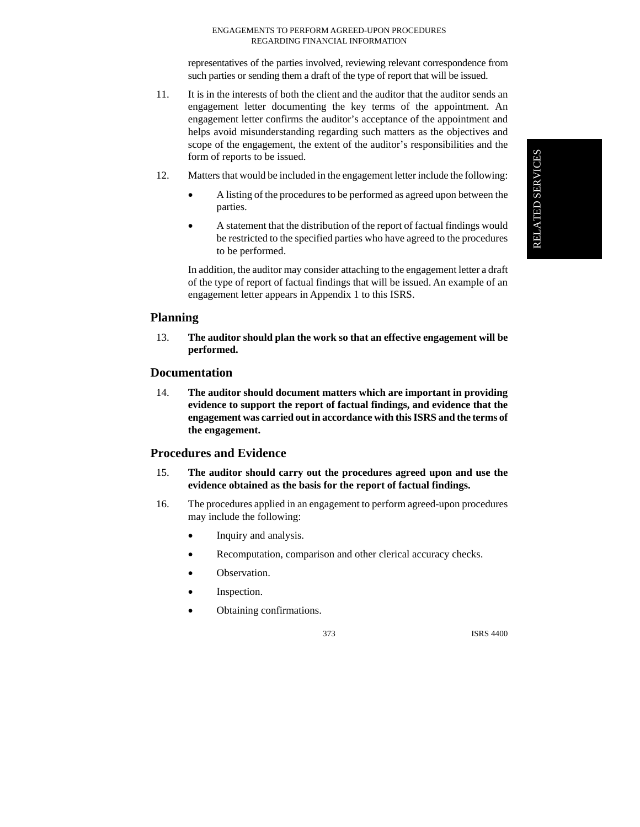representatives of the parties involved, reviewing relevant correspondence from such parties or sending them a draft of the type of report that will be issued.

- 11. It is in the interests of both the client and the auditor that the auditor sends an engagement letter documenting the key terms of the appointment. An engagement letter confirms the auditor's acceptance of the appointment and helps avoid misunderstanding regarding such matters as the objectives and scope of the engagement, the extent of the auditor's responsibilities and the form of reports to be issued.
- 12. Matters that would be included in the engagement letter include the following:
	- A listing of the procedures to be performed as agreed upon between the parties.
	- A statement that the distribution of the report of factual findings would be restricted to the specified parties who have agreed to the procedures to be performed.

In addition, the auditor may consider attaching to the engagement letter a draft of the type of report of factual findings that will be issued. An example of an engagement letter appears in Appendix 1 to this ISRS.

### **Planning**

13. **The auditor should plan the work so that an effective engagement will be performed.** 

### **Documentation**

14. **The auditor should document matters which are important in providing evidence to support the report of factual findings, and evidence that the engagement was carried out in accordance with this ISRS and the terms of the engagement.** 

### **Procedures and Evidence**

- 15. **The auditor should carry out the procedures agreed upon and use the evidence obtained as the basis for the report of factual findings.**
- 16. The procedures applied in an engagement to perform agreed-upon procedures may include the following:
	- Inquiry and analysis.
	- Recomputation, comparison and other clerical accuracy checks.
	- Observation.
	- Inspection.
	- Obtaining confirmations.

RELATED SERVICES

**RELATED SERVICES** 

373 ISRS 4400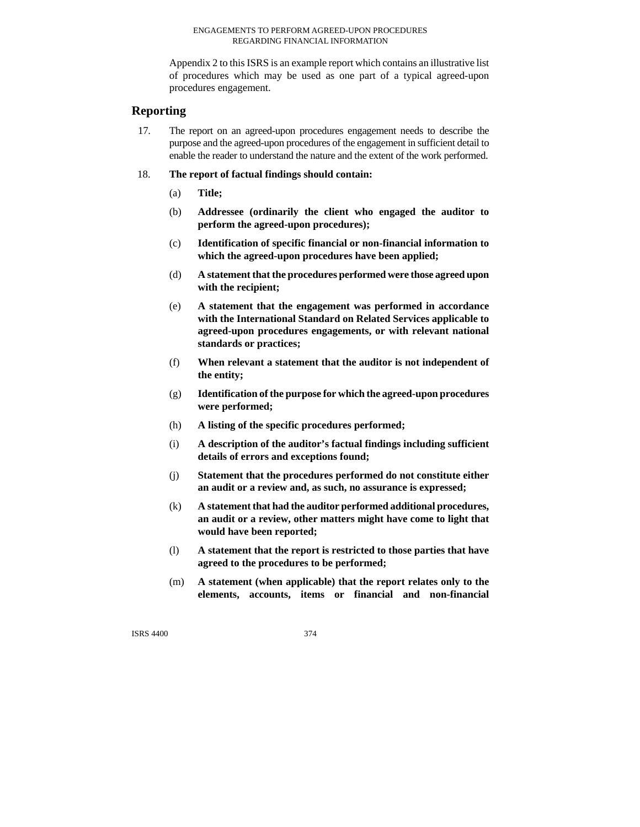Appendix 2 to this ISRS is an example report which contains an illustrative list of procedures which may be used as one part of a typical agreed-upon procedures engagement.

### **Reporting**

17. The report on an agreed-upon procedures engagement needs to describe the purpose and the agreed-upon procedures of the engagement in sufficient detail to enable the reader to understand the nature and the extent of the work performed.

#### 18. **The report of factual findings should contain:**

- (a) **Title;**
- (b) **Addressee (ordinarily the client who engaged the auditor to perform the agreed-upon procedures);**
- (c) **Identification of specific financial or non-financial information to which the agreed-upon procedures have been applied;**
- (d) **A statement that the procedures performed were those agreed upon with the recipient;**
- (e) **A statement that the engagement was performed in accordance with the International Standard on Related Services applicable to agreed-upon procedures engagements, or with relevant national standards or practices;**
- (f) **When relevant a statement that the auditor is not independent of the entity;**
- (g) **Identification of the purpose for which the agreed-upon procedures were performed;**
- (h) **A listing of the specific procedures performed;**
- (i) **A description of the auditor's factual findings including sufficient details of errors and exceptions found;**
- (j) **Statement that the procedures performed do not constitute either an audit or a review and, as such, no assurance is expressed;**
- (k) **A statement that had the auditor performed additional procedures, an audit or a review, other matters might have come to light that would have been reported;**
- (l) **A statement that the report is restricted to those parties that have agreed to the procedures to be performed;**
- (m) **A statement (when applicable) that the report relates only to the elements, accounts, items or financial and non-financial**

ISRS 4400 374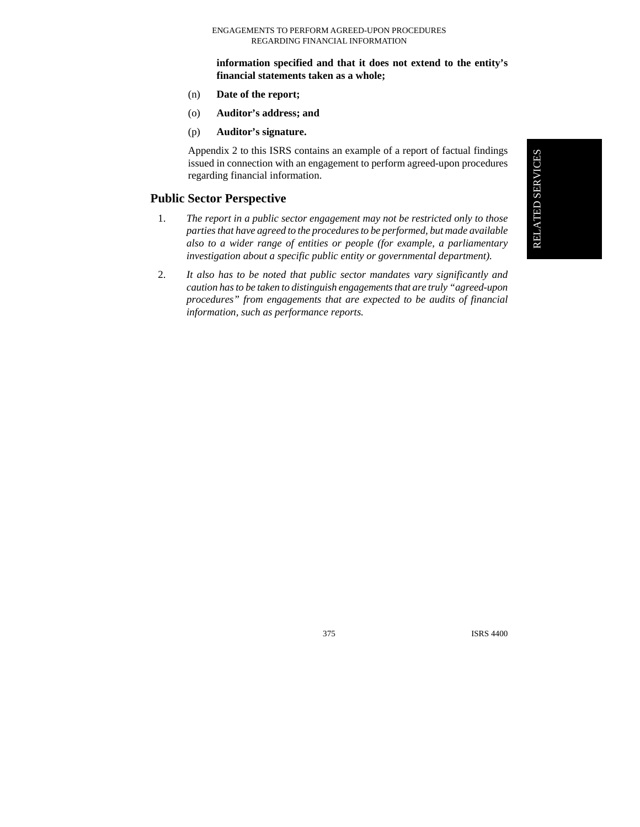#### **information specified and that it does not extend to the entity's financial statements taken as a whole;**

- (n) **Date of the report;**
- (o) **Auditor's address; and**
- (p) **Auditor's signature.**

Appendix 2 to this ISRS contains an example of a report of factual findings issued in connection with an engagement to perform agreed-upon procedures regarding financial information.

#### **Public Sector Perspective**

- 1. *The report in a public sector engagement may not be restricted only to those parties that have agreed to the procedures to be performed, but made available also to a wider range of entities or people (for example, a parliamentary investigation about a specific public entity or governmental department).*
- 2. *It also has to be noted that public sector mandates vary significantly and caution has to be taken to distinguish engagements that are truly "agreed-upon procedures" from engagements that are expected to be audits of financial information, such as performance reports.*

375 ISRS 4400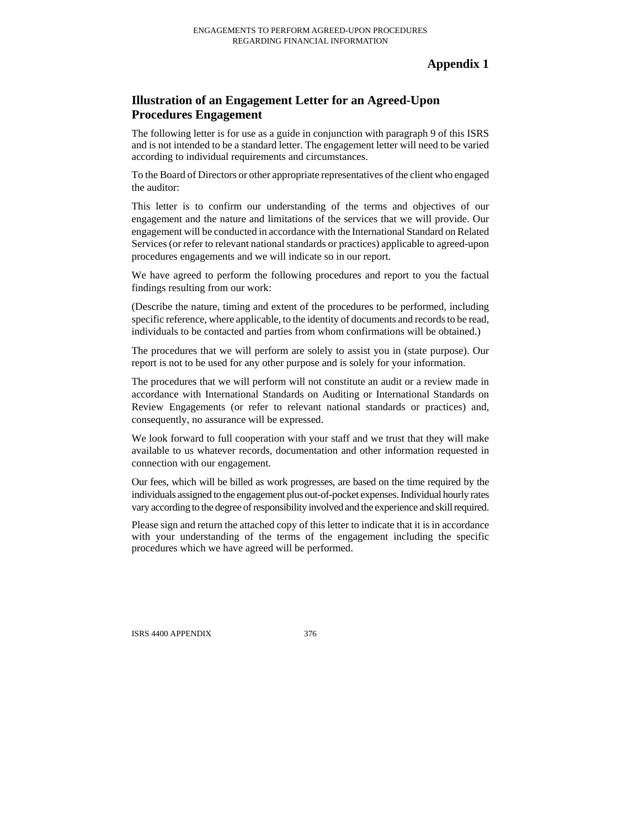**Appendix 1** 

# **Illustration of an Engagement Letter for an Agreed-Upon Procedures Engagement**

The following letter is for use as a guide in conjunction with paragraph 9 of this ISRS and is not intended to be a standard letter. The engagement letter will need to be varied according to individual requirements and circumstances.

To the Board of Directors or other appropriate representatives of the client who engaged the auditor:

This letter is to confirm our understanding of the terms and objectives of our engagement and the nature and limitations of the services that we will provide. Our engagement will be conducted in accordance with the International Standard on Related Services (or refer to relevant national standards or practices) applicable to agreed-upon procedures engagements and we will indicate so in our report.

We have agreed to perform the following procedures and report to you the factual findings resulting from our work:

(Describe the nature, timing and extent of the procedures to be performed, including specific reference, where applicable, to the identity of documents and records to be read, individuals to be contacted and parties from whom confirmations will be obtained.)

The procedures that we will perform are solely to assist you in (state purpose). Our report is not to be used for any other purpose and is solely for your information.

The procedures that we will perform will not constitute an audit or a review made in accordance with International Standards on Auditing or International Standards on Review Engagements (or refer to relevant national standards or practices) and, consequently, no assurance will be expressed.

We look forward to full cooperation with your staff and we trust that they will make available to us whatever records, documentation and other information requested in connection with our engagement.

Our fees, which will be billed as work progresses, are based on the time required by the individuals assigned to the engagement plus out-of-pocket expenses. Individual hourly rates vary according to the degree of responsibility involved and the experience and skill required.

Please sign and return the attached copy of this letter to indicate that it is in accordance with your understanding of the terms of the engagement including the specific procedures which we have agreed will be performed.

ISRS 4400 APPENDIX 376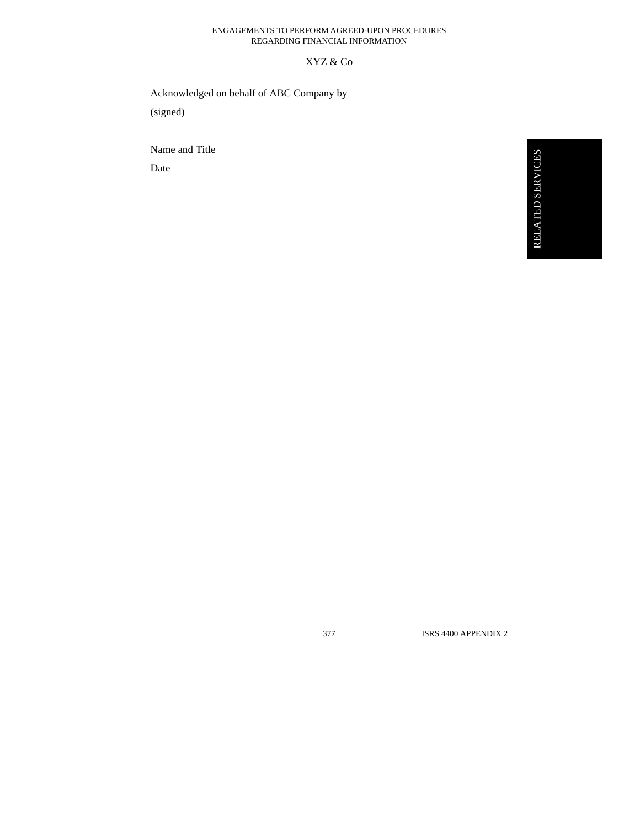#### ENGAGEMENTS TO PERFORM AGREED-UPON PROCEDURES REGARDING FINANCIAL INFORMATION

#### XYZ & Co

Acknowledged on behalf of ABC Company by

(signed)

Name and Title

Date

**RELATED SERVICES** RELATED SERVICES

377 ISRS 4400 APPENDIX 2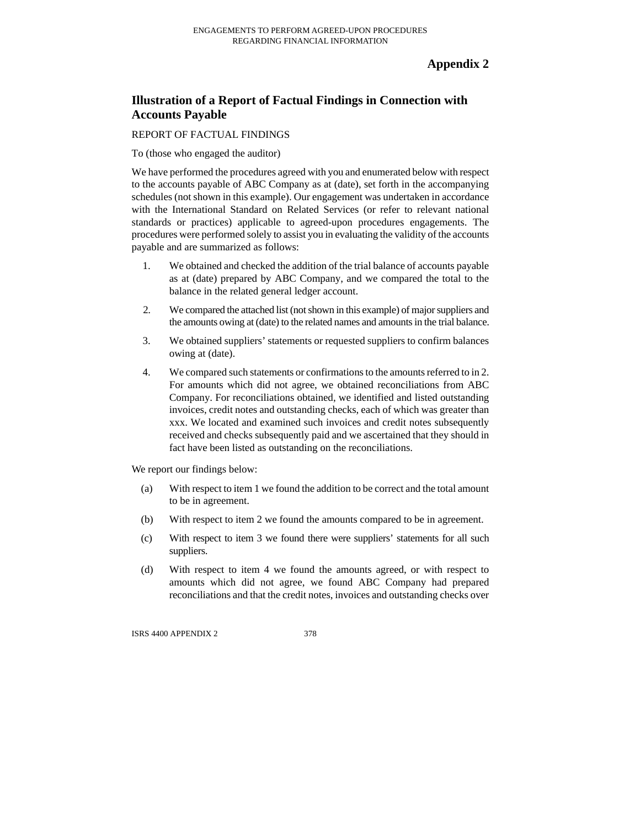## **Appendix 2**

# **Illustration of a Report of Factual Findings in Connection with Accounts Payable**

#### REPORT OF FACTUAL FINDINGS

#### To (those who engaged the auditor)

We have performed the procedures agreed with you and enumerated below with respect to the accounts payable of ABC Company as at (date), set forth in the accompanying schedules (not shown in this example). Our engagement was undertaken in accordance with the International Standard on Related Services (or refer to relevant national standards or practices) applicable to agreed-upon procedures engagements. The procedures were performed solely to assist you in evaluating the validity of the accounts payable and are summarized as follows:

- 1. We obtained and checked the addition of the trial balance of accounts payable as at (date) prepared by ABC Company, and we compared the total to the balance in the related general ledger account.
- 2. We compared the attached list (not shown in this example) of major suppliers and the amounts owing at (date) to the related names and amounts in the trial balance.
- 3. We obtained suppliers' statements or requested suppliers to confirm balances owing at (date).
- 4. We compared such statements or confirmations to the amounts referred to in 2. For amounts which did not agree, we obtained reconciliations from ABC Company. For reconciliations obtained, we identified and listed outstanding invoices, credit notes and outstanding checks, each of which was greater than xxx. We located and examined such invoices and credit notes subsequently received and checks subsequently paid and we ascertained that they should in fact have been listed as outstanding on the reconciliations.

We report our findings below:

- (a) With respect to item 1 we found the addition to be correct and the total amount to be in agreement.
- (b) With respect to item 2 we found the amounts compared to be in agreement.
- (c) With respect to item 3 we found there were suppliers' statements for all such suppliers.
- (d) With respect to item 4 we found the amounts agreed, or with respect to amounts which did not agree, we found ABC Company had prepared reconciliations and that the credit notes, invoices and outstanding checks over

**ISRS 4400 APPENDIX 2** 378